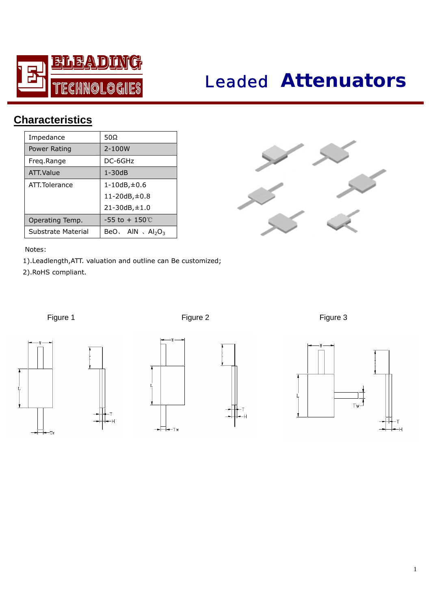

# *Leaded* **Attenuators**

## **Characteristics**

| Impedance          | 50 $\Omega$               |  |  |  |  |
|--------------------|---------------------------|--|--|--|--|
| Power Rating       | 2-100W                    |  |  |  |  |
| Freq.Range         | DC-6GHz                   |  |  |  |  |
| ATT. Value         | $1 - 30dB$                |  |  |  |  |
| ATT. Tolerance     | $1 - 10dB + 0.6$          |  |  |  |  |
|                    | 11-20dB, ±0.8             |  |  |  |  |
|                    | 21-30dB, ±1.0             |  |  |  |  |
| Operating Temp.    | $-55$ to $+150^{\circ}$ C |  |  |  |  |
| Substrate Material | BeO, AIN, $Al_2O_3$       |  |  |  |  |



#### Notes:

 1).Leadlength,ATT. valuation and outline can Be customized; 2).RoHS compliant.